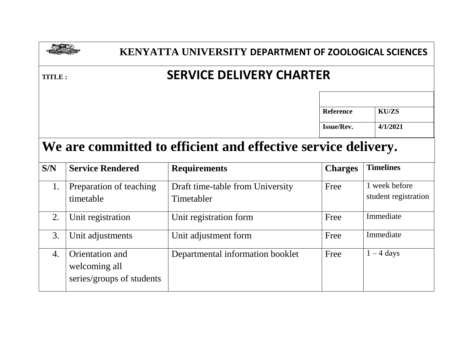|                |                                      | KENYATTA UNIVERSITY DEPARTMENT OF ZOOLOGICAL SCIENCES         |                   |                                       |  |  |
|----------------|--------------------------------------|---------------------------------------------------------------|-------------------|---------------------------------------|--|--|
| <b>TITLE :</b> |                                      | <b>SERVICE DELIVERY CHARTER</b>                               |                   |                                       |  |  |
|                |                                      |                                                               | <b>Reference</b>  | <b>KU/ZS</b>                          |  |  |
|                |                                      |                                                               | <b>Issue/Rev.</b> | 4/1/2021                              |  |  |
|                |                                      | We are committed to efficient and effective service delivery. |                   |                                       |  |  |
| S/N            | <b>Service Rendered</b>              | <b>Requirements</b>                                           | <b>Charges</b>    | <b>Timelines</b>                      |  |  |
| 1.             | Preparation of teaching<br>timetable | Draft time-table from University<br>Timetabler                | Free              | 1 week before<br>student registration |  |  |
| 2.             | Unit registration                    | Unit registration form                                        | Free              | Immediate                             |  |  |
| 3.             | Unit adjustments                     | Unit adjustment form                                          | Free              | Immediate                             |  |  |
| 4.             | Orientation and                      | Departmental information booklet                              | Free              | $1 - 4$ days                          |  |  |

welcoming all

series/groups of students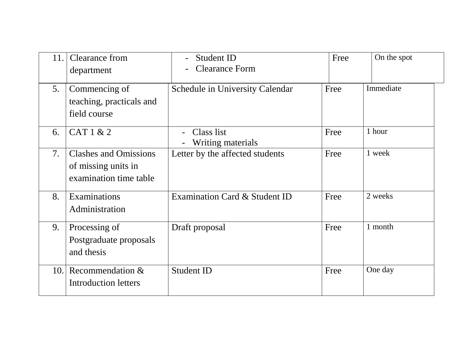| 11. | Clearance from<br>department                                                  | Student ID<br><b>Clearance Form</b>    | Free | On the spot |
|-----|-------------------------------------------------------------------------------|----------------------------------------|------|-------------|
| 5.  | Commencing of<br>teaching, practicals and<br>field course                     | <b>Schedule in University Calendar</b> | Free | Immediate   |
| 6.  | CAT 1 & 2                                                                     | Class list<br><b>Writing materials</b> | Free | 1 hour      |
| 7.  | <b>Clashes and Omissions</b><br>of missing units in<br>examination time table | Letter by the affected students        | Free | 1 week      |
| 8.  | Examinations<br>Administration                                                | Examination Card & Student ID          | Free | 2 weeks     |
| 9.  | Processing of<br>Postgraduate proposals<br>and thesis                         | Draft proposal                         | Free | 1 month     |
| 10. | Recommendation &<br><b>Introduction letters</b>                               | <b>Student ID</b>                      | Free | One day     |